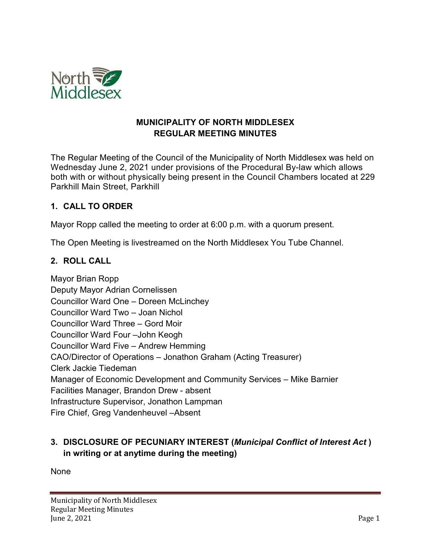

#### **MUNICIPALITY OF NORTH MIDDLESEX REGULAR MEETING MINUTES**

The Regular Meeting of the Council of the Municipality of North Middlesex was held on Wednesday June 2, 2021 under provisions of the Procedural By-law which allows both with or without physically being present in the Council Chambers located at 229 Parkhill Main Street, Parkhill

#### **1. CALL TO ORDER**

Mayor Ropp called the meeting to order at 6:00 p.m. with a quorum present.

The Open Meeting is livestreamed on the North Middlesex You Tube Channel.

#### **2. ROLL CALL**

Mayor Brian Ropp Deputy Mayor Adrian Cornelissen Councillor Ward One – Doreen McLinchey Councillor Ward Two – Joan Nichol Councillor Ward Three – Gord Moir Councillor Ward Four –John Keogh Councillor Ward Five – Andrew Hemming CAO/Director of Operations – Jonathon Graham (Acting Treasurer) Clerk Jackie Tiedeman Manager of Economic Development and Community Services – Mike Barnier Facilities Manager, Brandon Drew - absent Infrastructure Supervisor, Jonathon Lampman Fire Chief, Greg Vandenheuvel –Absent

### **3. DISCLOSURE OF PECUNIARY INTEREST (***Municipal Conflict of Interest Act* **) in writing or at anytime during the meeting)**

None

Municipality of North Middlesex Regular Meeting Minutes June 2, 2021  $P$ age 1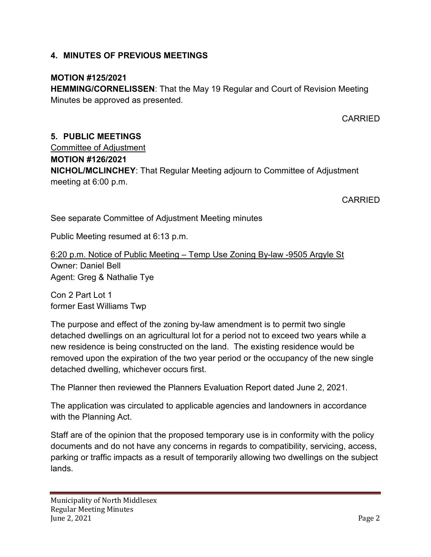#### **4. MINUTES OF PREVIOUS MEETINGS**

#### **MOTION #125/2021**

**HEMMING/CORNELISSEN**: That the May 19 Regular and Court of Revision Meeting Minutes be approved as presented.

CARRIED

# **5. PUBLIC MEETINGS**

Committee of Adjustment **MOTION #126/2021 NICHOL/MCLINCHEY**: That Regular Meeting adjourn to Committee of Adjustment meeting at 6:00 p.m.

CARRIED

See separate Committee of Adjustment Meeting minutes

Public Meeting resumed at 6:13 p.m.

6:20 p.m. Notice of Public Meeting – Temp Use Zoning By-law -9505 Argyle St Owner: Daniel Bell Agent: Greg & Nathalie Tye

Con 2 Part Lot 1 former East Williams Twp

The purpose and effect of the zoning by-law amendment is to permit two single detached dwellings on an agricultural lot for a period not to exceed two years while a new residence is being constructed on the land. The existing residence would be removed upon the expiration of the two year period or the occupancy of the new single detached dwelling, whichever occurs first.

The Planner then reviewed the Planners Evaluation Report dated June 2, 2021.

The application was circulated to applicable agencies and landowners in accordance with the Planning Act.

Staff are of the opinion that the proposed temporary use is in conformity with the policy documents and do not have any concerns in regards to compatibility, servicing, access, parking or traffic impacts as a result of temporarily allowing two dwellings on the subject lands.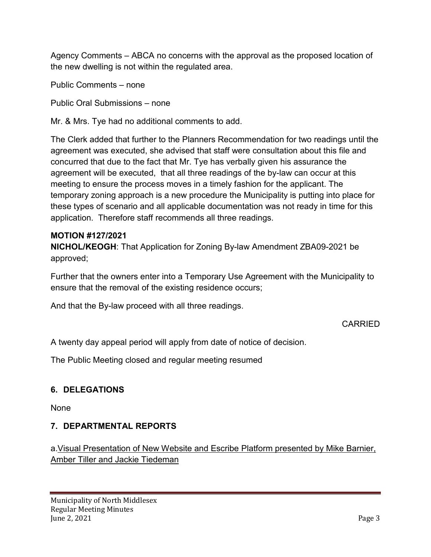Agency Comments – ABCA no concerns with the approval as the proposed location of the new dwelling is not within the regulated area.

Public Comments – none

Public Oral Submissions – none

Mr. & Mrs. Tye had no additional comments to add.

The Clerk added that further to the Planners Recommendation for two readings until the agreement was executed, she advised that staff were consultation about this file and concurred that due to the fact that Mr. Tye has verbally given his assurance the agreement will be executed, that all three readings of the by-law can occur at this meeting to ensure the process moves in a timely fashion for the applicant. The temporary zoning approach is a new procedure the Municipality is putting into place for these types of scenario and all applicable documentation was not ready in time for this application. Therefore staff recommends all three readings.

#### **MOTION #127/2021**

**NICHOL/KEOGH**: That Application for Zoning By-law Amendment ZBA09-2021 be approved;

Further that the owners enter into a Temporary Use Agreement with the Municipality to ensure that the removal of the existing residence occurs;

And that the By-law proceed with all three readings.

### CARRIED

A twenty day appeal period will apply from date of notice of decision.

The Public Meeting closed and regular meeting resumed

### **6. DELEGATIONS**

None

### **7. DEPARTMENTAL REPORTS**

a.Visual Presentation of New Website and Escribe Platform presented by Mike Barnier, Amber Tiller and Jackie Tiedeman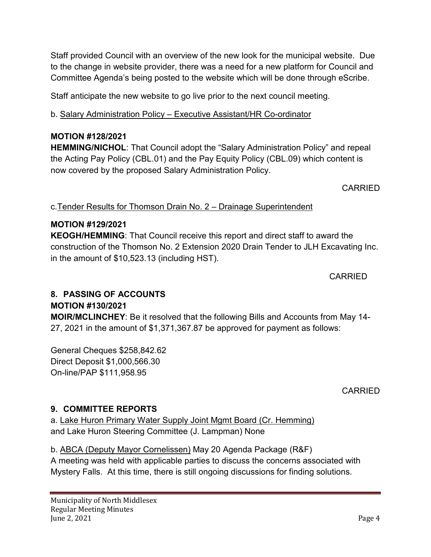Staff provided Council with an overview of the new look for the municipal website. Due to the change in website provider, there was a need for a new platform for Council and Committee Agenda's being posted to the website which will be done through eScribe.

Staff anticipate the new website to go live prior to the next council meeting.

b. Salary Administration Policy – Executive Assistant/HR Co-ordinator

#### **MOTION #128/2021**

**HEMMING/NICHOL**: That Council adopt the "Salary Administration Policy" and repeal the Acting Pay Policy (CBL.01) and the Pay Equity Policy (CBL.09) which content is now covered by the proposed Salary Administration Policy.

CARRIED

### c.Tender Results for Thomson Drain No. 2 – Drainage Superintendent

### **MOTION #129/2021**

**KEOGH/HEMMING**: That Council receive this report and direct staff to award the construction of the Thomson No. 2 Extension 2020 Drain Tender to JLH Excavating Inc. in the amount of \$10,523.13 (including HST).

CARRIED

### **8. PASSING OF ACCOUNTS**

#### **MOTION #130/2021**

**MOIR/MCLINCHEY**: Be it resolved that the following Bills and Accounts from May 14- 27, 2021 in the amount of \$1,371,367.87 be approved for payment as follows:

General Cheques \$258,842.62 Direct Deposit \$1,000,566.30 On-line/PAP \$111,958.95

CARRIED

### **9. COMMITTEE REPORTS**

a. Lake Huron Primary Water Supply Joint Mgmt Board (Cr. Hemming) and Lake Huron Steering Committee (J. Lampman) None

### b. ABCA (Deputy Mayor Cornelissen) May 20 Agenda Package (R&F)

A meeting was held with applicable parties to discuss the concerns associated with Mystery Falls. At this time, there is still ongoing discussions for finding solutions.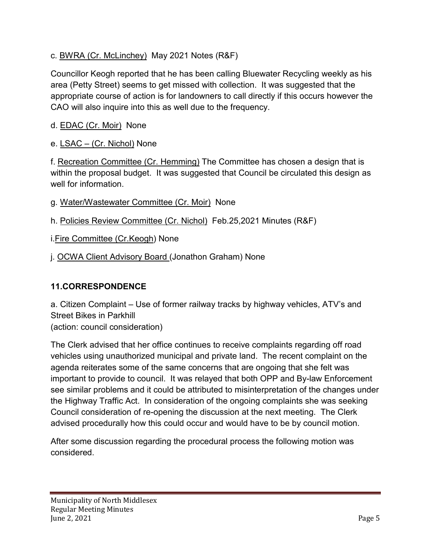### c. BWRA (Cr. McLinchey) May 2021 Notes (R&F)

Councillor Keogh reported that he has been calling Bluewater Recycling weekly as his area (Petty Street) seems to get missed with collection. It was suggested that the appropriate course of action is for landowners to call directly if this occurs however the CAO will also inquire into this as well due to the frequency.

# d. **EDAC** (Cr. Moir) None

e. LSAC – (Cr. Nichol) None

f. Recreation Committee (Cr. Hemming) The Committee has chosen a design that is within the proposal budget. It was suggested that Council be circulated this design as well for information.

- g. Water/Wastewater Committee (Cr. Moir) None
- h. Policies Review Committee (Cr. Nichol) Feb.25,2021 Minutes (R&F)

i.Fire Committee (Cr.Keogh) None

j. OCWA Client Advisory Board (Jonathon Graham) None

### **11.CORRESPONDENCE**

a. Citizen Complaint – Use of former railway tracks by highway vehicles, ATV's and Street Bikes in Parkhill (action: council consideration)

The Clerk advised that her office continues to receive complaints regarding off road vehicles using unauthorized municipal and private land. The recent complaint on the agenda reiterates some of the same concerns that are ongoing that she felt was important to provide to council. It was relayed that both OPP and By-law Enforcement see similar problems and it could be attributed to misinterpretation of the changes under the Highway Traffic Act. In consideration of the ongoing complaints she was seeking Council consideration of re-opening the discussion at the next meeting. The Clerk advised procedurally how this could occur and would have to be by council motion.

After some discussion regarding the procedural process the following motion was considered.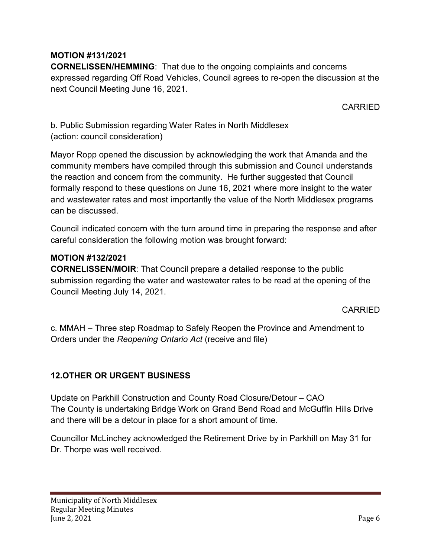### **MOTION #131/2021**

**CORNELISSEN/HEMMING**: That due to the ongoing complaints and concerns expressed regarding Off Road Vehicles, Council agrees to re-open the discussion at the next Council Meeting June 16, 2021.

CARRIED

b. Public Submission regarding Water Rates in North Middlesex (action: council consideration)

Mayor Ropp opened the discussion by acknowledging the work that Amanda and the community members have compiled through this submission and Council understands the reaction and concern from the community. He further suggested that Council formally respond to these questions on June 16, 2021 where more insight to the water and wastewater rates and most importantly the value of the North Middlesex programs can be discussed.

Council indicated concern with the turn around time in preparing the response and after careful consideration the following motion was brought forward:

#### **MOTION #132/2021**

**CORNELISSEN/MOIR**: That Council prepare a detailed response to the public submission regarding the water and wastewater rates to be read at the opening of the Council Meeting July 14, 2021.

CARRIED

c. MMAH – Three step Roadmap to Safely Reopen the Province and Amendment to Orders under the *Reopening Ontario Act* (receive and file)

### **12.OTHER OR URGENT BUSINESS**

Update on Parkhill Construction and County Road Closure/Detour – CAO The County is undertaking Bridge Work on Grand Bend Road and McGuffin Hills Drive and there will be a detour in place for a short amount of time.

Councillor McLinchey acknowledged the Retirement Drive by in Parkhill on May 31 for Dr. Thorpe was well received.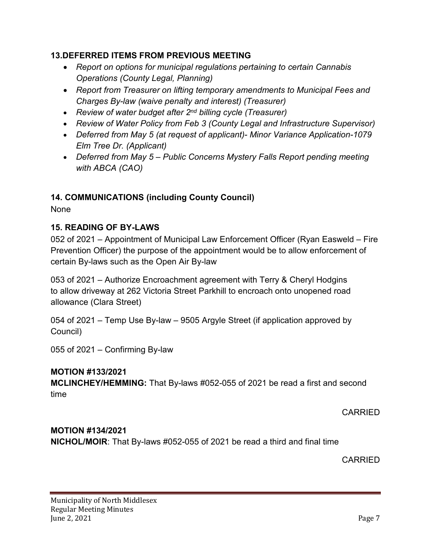#### **13.DEFERRED ITEMS FROM PREVIOUS MEETING**

- *Report on options for municipal regulations pertaining to certain Cannabis Operations (County Legal, Planning)*
- *Report from Treasurer on lifting temporary amendments to Municipal Fees and Charges By-law (waive penalty and interest) (Treasurer)*
- *Review of water budget after 2nd billing cycle (Treasurer)*
- *Review of Water Policy from Feb 3 (County Legal and Infrastructure Supervisor)*
- *Deferred from May 5 (at request of applicant)- Minor Variance Application-1079 Elm Tree Dr. (Applicant)*
- *Deferred from May 5 – Public Concerns Mystery Falls Report pending meeting with ABCA (CAO)*

### **14. COMMUNICATIONS (including County Council)**

None

### **15. READING OF BY-LAWS**

052 of 2021 – Appointment of Municipal Law Enforcement Officer (Ryan Easweld – Fire Prevention Officer) the purpose of the appointment would be to allow enforcement of certain By-laws such as the Open Air By-law

053 of 2021 – Authorize Encroachment agreement with Terry & Cheryl Hodgins to allow driveway at 262 Victoria Street Parkhill to encroach onto unopened road allowance (Clara Street)

054 of 2021 – Temp Use By-law – 9505 Argyle Street (if application approved by Council)

055 of 2021 – Confirming By-law

#### **MOTION #133/2021**

**MCLINCHEY/HEMMING:** That By-laws #052-055 of 2021 be read a first and second time

CARRIED

# **MOTION #134/2021**

**NICHOL/MOIR**: That By-laws #052-055 of 2021 be read a third and final time

CARRIED